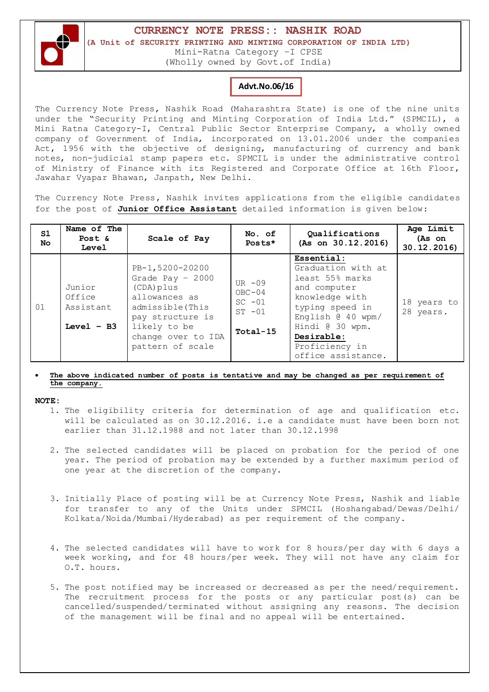

**CURRENCY NOTE PRESS:: NASHIK ROAD (A Unit of SECURITY PRINTING AND MINTING CORPORATION OF INDIA LTD)** Mini-Ratna Category –I CPSE (Wholly owned by Govt.of India)

# **Advt.No.06/16**

The Currency Note Press, Nashik Road (Maharashtra State) is one of the nine units under the "Security Printing and Minting Corporation of India Ltd." (SPMCIL), a Mini Ratna Category-I, Central Public Sector Enterprise Company, a wholly owned company of Government of India, incorporated on 13.01.2006 under the companies Act, 1956 with the objective of designing, manufacturing of currency and bank notes, non-judicial stamp papers etc. SPMCIL is under the administrative control of Ministry of Finance with its Registered and Corporate Office at 16th Floor, Jawahar Vyapar Bhawan, Janpath, New Delhi.

The Currency Note Press, Nashik invites applications from the eligible candidates for the post of **Junior Office Assistant** detailed information is given below:

| S1<br>No. | Name of The<br>Post &<br><b>Level</b>         | Scale of Pay                                                                                                                                                          | No. of<br>Posts*                                         | Oualifications<br>(As on 30.12.2016)                                                                                                                                                                   | Age Limit<br>(As on<br>30.12.2016 |
|-----------|-----------------------------------------------|-----------------------------------------------------------------------------------------------------------------------------------------------------------------------|----------------------------------------------------------|--------------------------------------------------------------------------------------------------------------------------------------------------------------------------------------------------------|-----------------------------------|
| 01        | Junior<br>Office<br>Assistant<br>$Level - B3$ | PB-1,5200-20200<br>Grade Pay $-2000$<br>(CDA) plus<br>allowances as<br>admissible (This<br>pay structure is<br>likely to be<br>change over to IDA<br>pattern of scale | UR $-09$<br>$OBC-04$<br>$SC -01$<br>$ST -01$<br>Total-15 | Essential:<br>Graduation with at<br>least 55% marks<br>and computer<br>knowledge with<br>typing speed in<br>English @ 40 wpm/<br>Hindi @ 30 wpm.<br>Desirable:<br>Proficiency in<br>office assistance. | 18 years to<br>28 years.          |

### **The above indicated number of posts is tentative and may be changed as per requirement of the company.**

#### **NOTE:**

- 1. The eligibility criteria for determination of age and qualification etc. will be calculated as on 30.12.2016. i.e a candidate must have been born not earlier than 31.12.1988 and not later than 30.12.1998
- 2. The selected candidates will be placed on probation for the period of one year. The period of probation may be extended by a further maximum period of one year at the discretion of the company.
- 3. Initially Place of posting will be at Currency Note Press, Nashik and liable for transfer to any of the Units under SPMCIL (Hoshangabad/Dewas/Delhi/ Kolkata/Noida/Mumbai/Hyderabad) as per requirement of the company.
- 4. The selected candidates will have to work for 8 hours/per day with 6 days a week working, and for 48 hours/per week. They will not have any claim for O.T. hours.
- 5. The post notified may be increased or decreased as per the need/requirement. The recruitment process for the posts or any particular post(s) can be cancelled/suspended/terminated without assigning any reasons. The decision of the management will be final and no appeal will be entertained.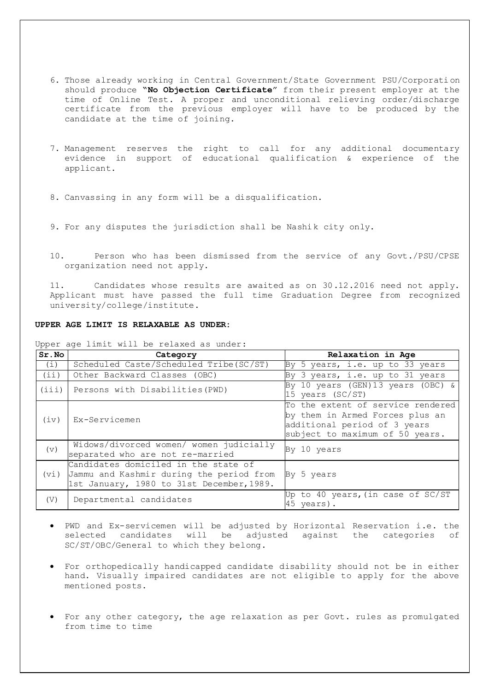- 6. Those already working in Central Government/State Government PSU/Corporation should produce **"No Objection Certificate**" from their present employer at the time of Online Test. A proper and unconditional relieving order/discharge certificate from the previous employer will have to be produced by the candidate at the time of joining.
- 7. Management reserves the right to call for any additional documentary evidence in support of educational qualification & experience of the applicant.
- 8. Canvassing in any form will be a disqualification.
- 9. For any disputes the jurisdiction shall be Nashik city only.
- 10. Person who has been dismissed from the service of any Govt./PSU/CPSE organization need not apply.

11. Candidates whose results are awaited as on 30.12.2016 need not apply. Applicant must have passed the full time Graduation Degree from recognized university/college/institute.

### **UPPER AGE LIMIT IS RELAXABLE AS UNDER:**

Upper age limit will be relaxed as under:

| Sr. No | Category                                                                                                                      | Relaxation in Age                                                                                                                       |  |
|--------|-------------------------------------------------------------------------------------------------------------------------------|-----------------------------------------------------------------------------------------------------------------------------------------|--|
| (i)    | Scheduled Caste/Scheduled Tribe(SC/ST)                                                                                        | By 5 years, i.e. up to 33 years                                                                                                         |  |
| (iii)  | Other Backward Classes (OBC)                                                                                                  | By 3 years, i.e. up to 31 years                                                                                                         |  |
| (iii)  | Persons with Disabilities (PWD)                                                                                               | By 10 years (GEN) 13 years (OBC) &<br>$15$ years (SC/ST)                                                                                |  |
| (iv)   | Ex-Servicemen                                                                                                                 | To the extent of service rendered<br>by them in Armed Forces plus an<br>additional period of 3 years<br>subject to maximum of 50 years. |  |
| (v)    | Widows/divorced women/ women judicially<br>separated who are not re-married                                                   | By 10 years                                                                                                                             |  |
| (vi)   | Candidates domiciled in the state of<br>Jammu and Kashmir during the period from<br>1st January, 1980 to 31st December, 1989. | By 5 years                                                                                                                              |  |
| (V)    | Departmental candidates                                                                                                       | Up to 40 years, (in case of SC/ST<br>45 years).                                                                                         |  |

- PWD and Ex-servicemen will be adjusted by Horizontal Reservation i.e. the selected candidates will be adjusted against the categories of SC/ST/OBC/General to which they belong.
- For orthopedically handicapped candidate disability should not be in either hand. Visually impaired candidates are not eligible to apply for the above mentioned posts.
- For any other category, the age relaxation as per Govt. rules as promulgated from time to time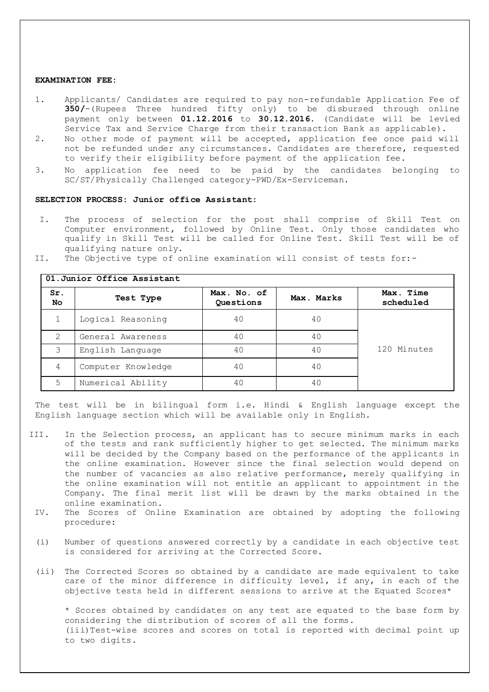#### **EXAMINATION FEE:**

 $\overline{\phantom{a}01.}$ 

- 1. Applicants/ Candidates are required to pay non-refundable Application Fee of **350/**-(Rupees Three hundred fifty only) to be disbursed through online payment only between **01.12.2016** to **30.12.2016**. (Candidate will be levied Service Tax and Service Charge from their transaction Bank as applicable).
- 2. No other mode of payment will be accepted, application fee once paid will not be refunded under any circumstances. Candidates are therefore, requested to verify their eligibility before payment of the application fee.
- 3. No application fee need to be paid by the candidates belonging to SC/ST/Physically Challenged category-PWD/Ex-Serviceman.

### **SELECTION PROCESS: Junior office Assistant:**

I. The process of selection for the post shall comprise of Skill Test on Computer environment, followed by Online Test. Only those candidates who qualify in Skill Test will be called for Online Test. Skill Test will be of qualifying nature only.

| Ul.Junior Office Assistant |                    |                          |            |                        |  |  |
|----------------------------|--------------------|--------------------------|------------|------------------------|--|--|
| Sr.<br>No.                 | Test Type          | Max. No. of<br>Questions | Max. Marks | Max. Time<br>scheduled |  |  |
|                            | Logical Reasoning  | 40                       | 40         |                        |  |  |
| $\mathcal{L}$              | General Awareness  | 40                       | 40         | 120 Minutes            |  |  |
| 3                          | English Language   | 40                       | 40         |                        |  |  |
| 4                          | Computer Knowledge | 40                       | 40         |                        |  |  |
| 5                          | Numerical Ability  | 40                       | 40         |                        |  |  |

II. The Objective type of online examination will consist of tests for:-

The test will be in bilingual form i.e. Hindi & English language except the English language section which will be available only in English.

- III. In the Selection process, an applicant has to secure minimum marks in each of the tests and rank sufficiently higher to get selected. The minimum marks will be decided by the Company based on the performance of the applicants in the online examination. However since the final selection would depend on the number of vacancies as also relative performance, merely qualifying in the online examination will not entitle an applicant to appointment in the Company. The final merit list will be drawn by the marks obtained in the online examination.
	- IV. The Scores of Online Examination are obtained by adopting the following procedure:
	- (i) Number of questions answered correctly by a candidate in each objective test is considered for arriving at the Corrected Score.
	- (ii) The Corrected Scores so obtained by a candidate are made equivalent to take care of the minor difference in difficulty level, if any, in each of the objective tests held in different sessions to arrive at the Equated Scores\*

\* Scores obtained by candidates on any test are equated to the base form by considering the distribution of scores of all the forms. (iii)Test-wise scores and scores on total is reported with decimal point up to two digits.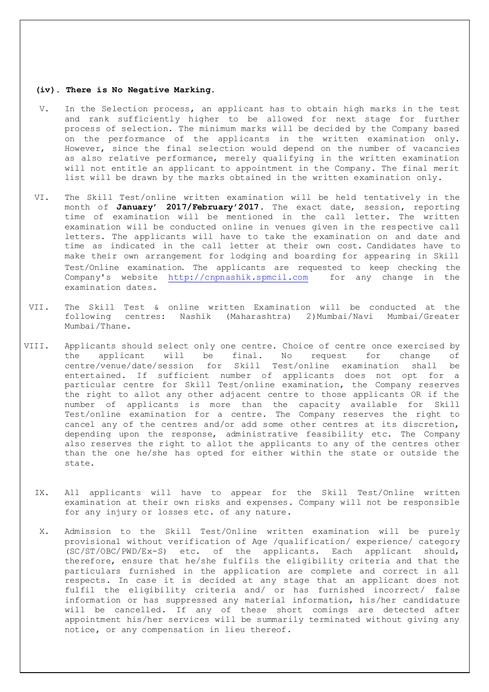### **(iv). There is No Negative Marking.**

- V. In the Selection process, an applicant has to obtain high marks in the test and rank sufficiently higher to be allowed for next stage for further process of selection. The minimum marks will be decided by the Company based on the performance of the applicants in the written examination only. However, since the final selection would depend on the number of vacancies as also relative performance, merely qualifying in the written examination will not entitle an applicant to appointment in the Company. The final merit list will be drawn by the marks obtained in the written examination only.
- VI. The Skill Test/online written examination will be held tentatively in the month of **January' 2017/February'2017**. The exact date, session, reporting time of examination will be mentioned in the call letter. The written examination will be conducted online in venues given in the respective call letters. The applicants will have to take the examination on and date and time as indicated in the call letter at their own cost. Candidates have to make their own arrangement for lodging and boarding for appearing in Skill Test/Online examination. The applicants are requested to keep checking the Company's website http://cnpnashik.spmcil.com for any change in the examination dates.
- VII. The Skill Test & online written Examination will be conducted at the following centres: Nashik (Maharashtra) 2)Mumbai/Navi Mumbai/Greater Mumbai/Thane.
- VIII. Applicants should select only one centre. Choice of centre once exercised by the applicant will be final. No request for change of centre/venue/date/session for Skill Test/online examination shall be entertained. If sufficient number of applicants does not opt for a particular centre for Skill Test/online examination, the Company reserves the right to allot any other adjacent centre to those applicants OR if the number of applicants is more than the capacity available for Skill Test/online examination for a centre. The Company reserves the right to cancel any of the centres and/or add some other centres at its discretion, depending upon the response, administrative feasibility etc. The Company also reserves the right to allot the applicants to any of the centres other than the one he/she has opted for either within the state or outside the state.
	- IX. All applicants will have to appear for the Skill Test/Online written examination at their own risks and expenses. Company will not be responsible for any injury or losses etc. of any nature.
	- X. Admission to the Skill Test/Online written examination will be purely provisional without verification of Age /qualification/ experience/ category (SC/ST/OBC/PWD/Ex-S) etc. of the applicants. Each applicant should, therefore, ensure that he/she fulfils the eligibility criteria and that the particulars furnished in the application are complete and correct in all respects. In case it is decided at any stage that an applicant does not fulfil the eligibility criteria and/ or has furnished incorrect/ false information or has suppressed any material information, his/her candidature will be cancelled. If any of these short comings are detected after appointment his/her services will be summarily terminated without giving any notice, or any compensation in lieu thereof.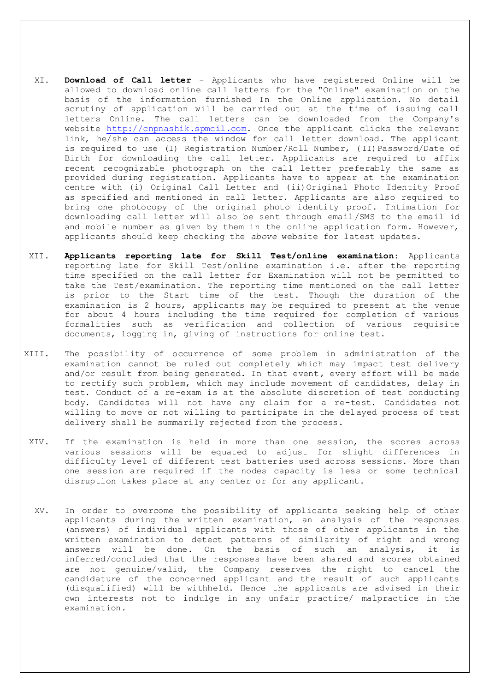- XI. **Download of Call letter** Applicants who have registered Online will be allowed to download online call letters for the "Online" examination on the basis of the information furnished In the Online application. No detail scrutiny of application will be carried out at the time of issuing call letters Online. The call letters can be downloaded from the Company's website http://cnpnashik.spmcil.com. Once the applicant clicks the relevant link, he/she can access the window for call letter download. The applicant is required to use (I) Registration Number/Roll Number, (II)Password/Date of Birth for downloading the call letter. Applicants are required to affix recent recognizable photograph on the call letter preferably the same as provided during registration. Applicants have to appear at the examination centre with (i) Original Call Letter and (ii)Original Photo Identity Proof as specified and mentioned in call letter. Applicants are also required to bring one photocopy of the original photo identity proof. Intimation for downloading call letter will also be sent through email/SMS to the email id and mobile number as given by them in the online application form. However, applicants should keep checking the *above* website for latest updates.
- XII. **Applicants reporting late for Skill Test/online examination**: Applicants reporting late for Skill Test/online examination i.e. after the reporting time specified on the call letter for Examination will not be permitted to take the Test/examination. The reporting time mentioned on the call letter is prior to the Start time of the test. Though the duration of the examination is 2 hours, applicants may be required to present at the venue for about 4 hours including the time required for completion of various formalities such as verification and collection of various requisite documents, logging in, giving of instructions for online test.
- XIII. The possibility of occurrence of some problem in administration of the examination cannot be ruled out completely which may impact test delivery and/or result from being generated. In that event*,* every effort will be made to rectify such problem, which may include movement of candidates, delay in test. Conduct of a re-exam is at the absolute discretion of test conducting body. Candidates will not have any claim for a re-test. Candidates not willing to move or not willing to participate in the delayed process of test delivery shall be summarily rejected from the process.
	- XIV. If the examination is held in more than one session, the scores across various sessions will be equated to adjust for slight differences in difficulty level of different test batteries used across sessions. More than one session are required if the nodes capacity is less or some technical disruption takes place at any center or for any applicant.
	- XV. In order to overcome the possibility of applicants seeking help of other applicants during the written examination, an analysis of the responses (answers) of individual applicants with those of other applicants in the written examination to detect patterns of similarity of right and wrong answers will be done. On the basis of such an analysis, it is inferred/concluded that the responses have been shared and scores obtained are not genuine/valid, the Company reserves the right to cancel the candidature of the concerned applicant and the result of such applicants (disqualified) will be withheld. Hence the applicants are advised in their own interests not to indulge in any unfair practice/ malpractice in the examination.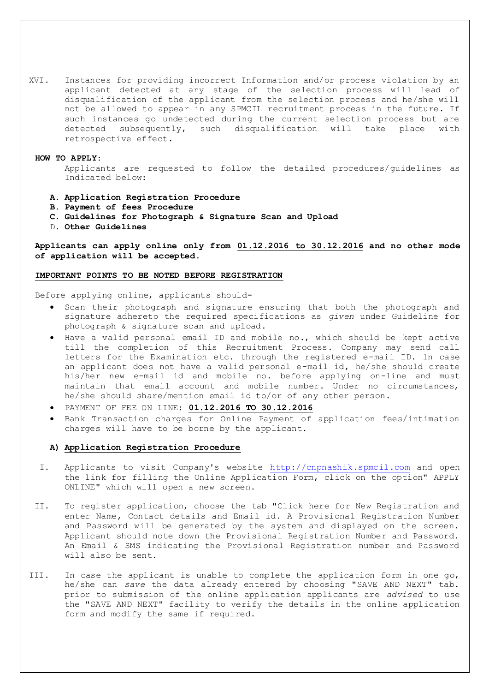XVI. Instances for providing incorrect Information and/or process violation by an applicant detected at any stage of the selection process will lead of disqualification of the applicant from the selection process and he/she will not be allowed to appear in any SPMCIL recruitment process in the future. If such instances go undetected during the current selection process but are detected subsequently, such disqualification will take place with retrospective effect.

#### **HOW TO APPLY**:

Applicants are requested to follow the detailed procedures/guidelines as Indicated below:

- **A. Application Registration Procedure**
- **B. Payment of fees Procedure**
- **C. Guidelines for Photograph & Signature Scan and Upload**
- D. **Other Guidelines**

**Applicants can apply online only from 01.12.2016 to 30.12.2016 and no other mode of application will be accepted**.

# **IMPORTANT POINTS TO BE NOTED BEFORE REGISTRATION**

Before applying online, applicants should**-**

- Scan their photograph and signature ensuring that both the photograph and signature adhereto the required specifications as *given* under Guideline for photograph & signature scan and upload.
- Have a valid personal email ID and mobile no., which should be kept active till the completion of this Recruitment Process. Company may send call letters for the Examination etc. through the registered e-mail ID. ln case an applicant does not have a valid personal e-mail id, he/she should create his/her new e-mail id and mobile no. before applying on-line and must maintain that email account and mobile number. Under no circumstances, he/she should share/mention email id to/or of any other person.
- PAYMENT OF FEE ON LINE: **01.12.2016 TO 30.12.2016**
- Bank Transaction charges for Online Payment of application fees/intimation charges will have to be borne by the applicant.

## **A) Application Registration Procedure**

- I. Applicants to visit Company's website http://cnpnashik.spmcil.com and open the link for filling the Online Application Form, click on the option" APPLY ONLINE" which will open a new screen.
- II. To register application, choose the tab "Click here for New Registration and enter Name, Contact details and Email id. A Provisional Registration Number and Password will be generated by the system and displayed on the screen. Applicant should note down the Provisional Registration Number and Password. An Email & SMS indicating the Provisional Registration number and Password will also be sent.
- III. In case the applicant is unable to complete the application form in one go, he/she can *save* the data already entered by choosing "SAVE AND NEXT" tab. prior to submission of the online application applicants are *advised* to use the "SAVE AND NEXT" facility to verify the details in the online application form and modify the same if required.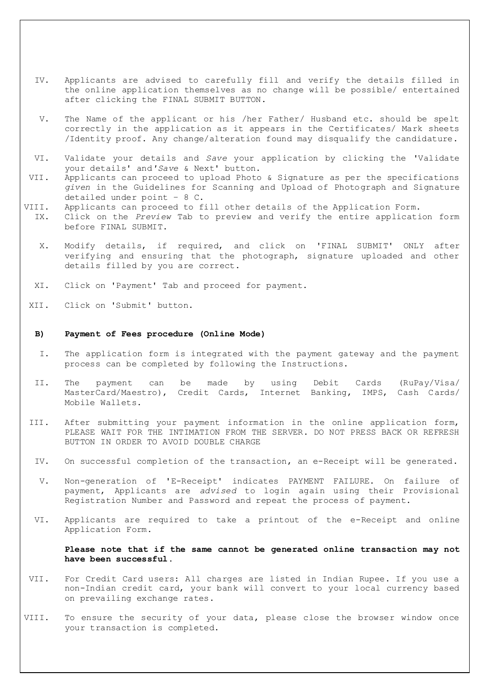- IV. Applicants are advised to carefully fill and verify the details filled in the online application themselves as no change will be possible/ entertained after clicking the FINAL SUBMIT BUTTON.
- V. The Name of the applicant or his /her Father/ Husband etc. should be spelt correctly in the application as it appears in the Certificates/ Mark sheets /Identity proof. Any change/alteration found may disqualify the candidature.
- VI. Validate your details and *Save* your application by clicking the 'Validate your details' and*'Save* & Next' button.
- VII. Applicants can proceed to upload Photo & Signature as per the specifications *given* in the Guidelines for Scanning and Upload of Photograph and Signature detailed under point – 8 C.
- VIII. Applicants can proceed to fill other details of the Application Form.
- IX. Click on the *Preview* Tab to preview and verify the entire application form before FINAL SUBMIT.
	- X. Modify details, if required, and click on 'FINAL SUBMIT' ONLY after verifying and ensuring that the photograph, signature uploaded and other details filled by you are correct.
- XI. Click on 'Payment' Tab and proceed for payment.
- XII. Click on 'Submit' button.

### **B) Payment of Fees procedure (Online Mode)**

- I. The application form is integrated with the payment gateway and the payment process can be completed by following the Instructions.
- II. The payment can be made by using Debit Cards (RuPay/Visa/ MasterCard/Maestro), Credit Cards, Internet Banking, IMPS, Cash Cards/ Mobile Wallets.
- III. After submitting your payment information in the online application form, PLEASE WAIT FOR THE INTIMATION FROM THE SERVER. DO NOT PRESS BACK OR REFRESH BUTTON IN ORDER TO AVOID DOUBLE CHARGE
	- IV. On successful completion of the transaction, an e-Receipt will be generated.
	- V. Non-generation of 'E-Receipt' indicates PAYMENT FAILURE. On failure of payment, Applicants are *advised* to login again using their Provisional Registration Number and Password and repeat the process of payment.
- VI. Applicants are required to take a printout of the e-Receipt and online Application Form.

# **Please note that if the same cannot be generated online transaction may not have been successful**.

- VII. For Credit Card users: All charges are listed in Indian Rupee. If you use a non-Indian credit card, your bank will convert to your local currency based on prevailing exchange rates.
- VIII. To ensure the security of your data, please close the browser window once your transaction is completed.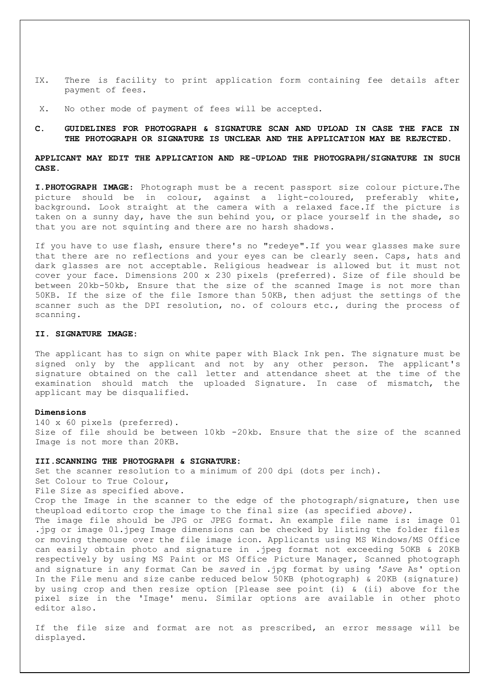- IX. There is facility to print application form containing fee details after payment of fees.
- X. No other mode of payment of fees will be accepted.
- **C. GUIDELINES FOR PHOTOGRAPH & SIGNATURE SCAN AND UPLOAD IN CASE THE FACE IN THE PHOTOGRAPH OR SIGNATURE IS UNCLEAR AND THE APPLICATION MAY BE REJECTED.**

# **APPLICANT MAY EDIT THE APPLICATION AND RE-UPLOAD THE PHOTOGRAPH/SIGNATURE IN SUCH CASE**.

**I.PHOTOGRAPH IMAGE**: Photograph must be a recent passport size colour picture.The picture should be in colour, against a light-coloured, preferably white, background. Look straight at the camera with a relaxed face.If the picture is taken on a sunny day, have the sun behind you, or place yourself in the shade, so that you are not squinting and there are no harsh shadows.

If you have to use flash, ensure there's no "redeye".If you wear glasses make sure that there are no reflections and your eyes can be clearly seen. Caps, hats and dark glasses are not acceptable. Religious headwear is allowed but it must not cover your face. Dimensions 200 x 230 pixels (preferred). Size of file should be between 20kb-50kb, Ensure that the size of the scanned Image is not more than 50KB. If the size of the file Ismore than 50KB, then adjust the settings of the scanner such as the DPI resolution, no. of colours etc., during the process of scanning.

#### **II. SIGNATURE IMAGE:**

The applicant has to sign on white paper with Black Ink pen. The signature must be signed only by the applicant and not by any other person. The applicant's signature obtained on the call letter and attendance sheet at the time of the examination should match the uploaded Signature. In case of mismatch, the applicant may be disqualified.

## **Dimensions**

140 x 60 pixels (preferred).

Size of file should be between 10kb -20kb. Ensure that the size of the scanned Image is not more than 20KB.

#### **III.SCANNING THE PHOTOGRAPH & SIGNATURE:**

Set the scanner resolution to a minimum of 200 dpi (dots per inch).

Set Colour to True Colour,

File Size as specified above.

Crop the Image in the scanner to the edge of the photograph/signature, then use theupload editorto crop the image to the final size (as specified *above).*

The image file should be JPG or JPEG format. An example file name is: image 0l .jpg or image 01.jpeg Image dimensions can be checked by listing the folder files or moving themouse over the file image icon. Applicants using MS Windows/MS Office can easily obtain photo and signature in .jpeg format not exceeding 5OKB & 20KB respectively by using MS Paint or MS Office Picture Manager, Scanned photograph and signature in any format Can be *saved* in .jpg format by using *'Save* As' option In the File menu and size canbe reduced below 50KB (photograph) & 20KB (signature) by using crop and then resize option [Please see point (i) & (ii) above for the pixel size in the 'Image' menu. Similar options are available in other photo editor also.

If the file size and format are not as prescribed, an error message will be displayed.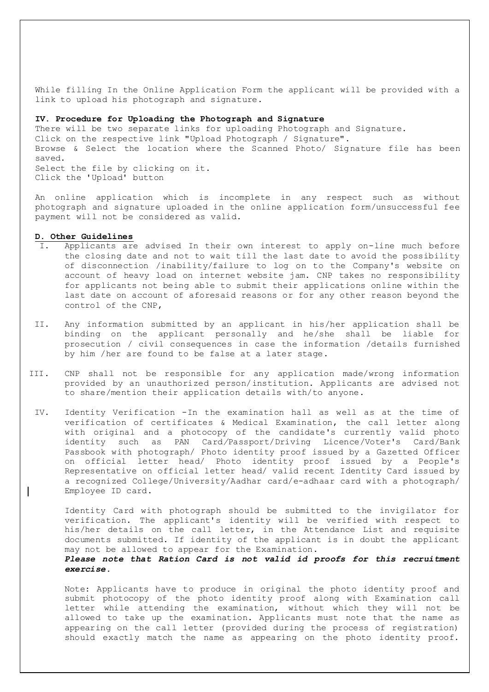While filling In the Online Application Form the applicant will be provided with a link to upload his photograph and signature.

## **IV. Procedure for Uploading the Photograph and Signature**

There will be two separate links for uploading Photograph and Signature. Click on the respective link "Upload Photograph / Signature". Browse & Select the location where the Scanned Photo/ Signature file has been saved. Select the file by clicking on it. Click the 'Upload' button

An online application which is incomplete in any respect such as without photograph and signature uploaded in the online application form/unsuccessful fee payment will not be considered as valid.

# **D. Other Guidelines**

 $\mathsf{I}$ 

- I. Applicants are advised In their own interest to apply on-line much before the closing date and not to wait till the last date to avoid the possibility of disconnection /inability/failure to log on to the Company's website on account of heavy load on internet website jam. CNP takes no responsibility for applicants not being able to submit their applications online within the last date on account of aforesaid reasons or for any other reason beyond the control of the CNP,
- II. Any information submitted by an applicant in his/her application shall be binding on the applicant personally and he/she shall be liable for prosecution / civil consequences in case the information /details furnished by him /her are found to be false at a later stage.
- III. CNP shall not be responsible for any application made/wrong information provided by an unauthorized person/institution. Applicants are advised not to share/mention their application details with/to anyone.
- IV. Identity Verification -In the examination hall as well as at the time of verification of certificates & Medical Examination, the call letter along with original and a photocopy of the candidate's currently valid photo identity such as PAN Card*/*Passport/Driving Licence/Voter's Card/Bank Passbook with photograph/ Photo identity proof issued by a Gazetted Officer on official letter head/ Photo identity proof issued by a People's Representative on official letter head/ valid recent Identity Card issued by a recognized College/University/Aadhar card/e-adhaar card with a photograph/ Employee ID card.

Identity Card with photograph should be submitted to the invigilator for verification. The applicant's identity will be verified with respect to his/her details on the call letter, in the Attendance List and requisite documents submitted. If identity of the applicant is in doubt the applicant may not be allowed to appear for the Examination. *Please note that Ration Card is not valid id proofs for this recruitment*

*exercise.*

Note: Applicants have to produce in original the photo identity proof and submit photocopy of the photo identity proof along with Examination call letter while attending the examination, without which they will not be allowed to take up the examination. Applicants must note that the name as appearing on the call letter (provided during the process of registration) should exactly match the name as appearing on the photo identity proof.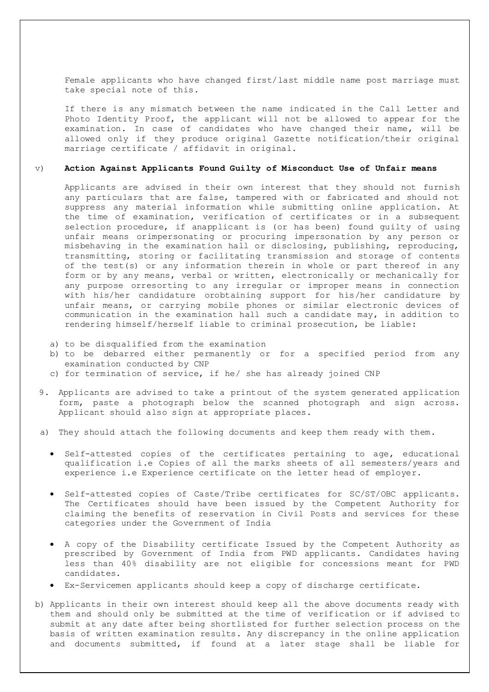Female applicants who have changed first/last middle name post marriage must take special note of this.

If there is any mismatch between the name indicated in the Call Letter and Photo Identity Proof, the applicant will not be allowed to appear for the examination. In case of candidates who have changed their name, will be allowed only if they produce original Gazette notification/their original marriage certificate / affidavit in original.

## v) **Action Against Applicants Found Guilty of Misconduct Use of Unfair means**

Applicants are advised in their own interest that they should not furnish any particulars that are false, tampered with or fabricated and should not suppress any material information while submitting online application. At the time of examination, verification of certificates or in a subsequent selection procedure, if anapplicant is (or has been) found guilty of using unfair means orimpersonating or procuring impersonation by any person or misbehaving in the examination hall or disclosing, publishing, reproducing, transmitting, storing or facilitating transmission and storage of contents of the test(s) or any information therein in whole or part thereof in any form or by any means, verbal or written, electronically or mechanically for any purpose orresorting to any irregular or improper means in connection with his/her candidature orobtaining support for his/her candidature by unfair means, or carrying mobile phones or similar electronic devices of communication in the examination hall such a candidate may, in addition to rendering himself/herself liable to criminal prosecution, be liable:

- a) to be disqualified from the examination
- b) to be debarred either permanently or for a specified period from any examination conducted by CNP
- c) for termination of service, if he/ she has already joined CNP
- 9. Applicants are advised to take a printout of the system generated application form, paste a photograph below the scanned photograph and sign across. Applicant should also sign at appropriate places.
- a) They should attach the following documents and keep them ready with them.
	- Self-attested copies of the certificates pertaining to age, educational qualification i.e Copies of all the marks sheets of all semesters/years and experience i.e Experience certificate on the letter head of employer.
	- Self-attested copies of Caste/Tribe certificates for SC/ST/OBC applicants. The Certificates should have been issued by the Competent Authority for claiming the benefits of reservation in Civil Posts and services for these categories under the Government of India
	- A copy of the Disability certificate Issued by the Competent Authority as prescribed by Government of India from PWD applicants. Candidates having less than 40% disability are not eligible for concessions meant for PWD candidates.
	- Ex-Servicemen applicants should keep a copy of discharge certificate.
- b) Applicants in their own interest should keep all the above documents ready with them and should only be submitted at the time of verification or if advised to submit at any date after being shortlisted for further selection process on the basis of written examination results. Any discrepancy in the online application and documents submitted, if found at a later stage shall be liable for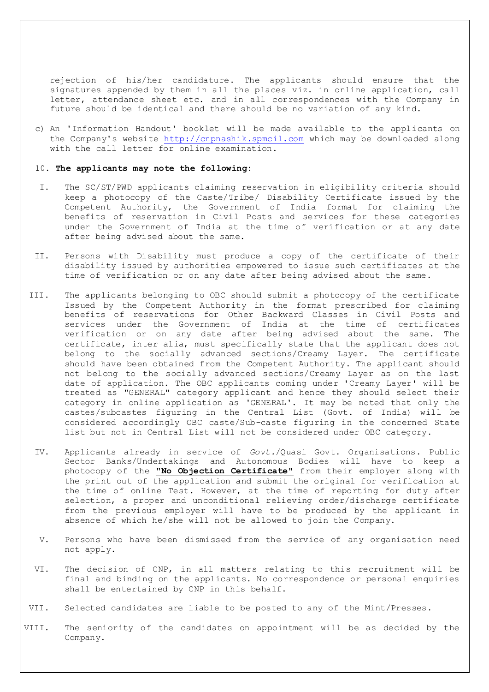rejection of his/her candidature. The applicants should ensure that the signatures appended by them in all the places viz. in online application, call letter, attendance sheet etc. and in all correspondences with the Company in future should be identical and there should be no variation of any kind.

c) An 'Information Handout' booklet will be made available to the applicants on the Company's website http://cnpnashik.spmcil.com which may be downloaded along with the call letter for online examination.

### 10. **The applicants may note the following:**

- I. The SC/ST/PWD applicants claiming reservation in eligibility criteria should keep a photocopy of the Caste/Tribe/ Disability Certificate issued by the Competent Authority, the Government of India format for claiming the benefits of reservation in Civil Posts and services for these categories under the Government of India at the time of verification or at any date after being advised about the same.
- II. Persons with Disability must produce a copy of the certificate of their disability issued by authorities empowered to issue such certificates at the time of verification or on any date after being advised about the same.
- III. The applicants belonging to OBC should submit a photocopy of the certificate Issued by the Competent Authority in the format prescribed for claiming benefits of reservations for Other Backward Classes in Civil Posts and services under the Government of India at the time of certificates verification or on any date after being advised about the same. The certificate, inter alia, must specifically state that the applicant does not belong to the socially advanced sections/Creamy Layer. The certificate should have been obtained from the Competent Authority. The applicant should not belong to the socially advanced sections/Creamy Layer as on the last date of application. The OBC applicants coming under 'Creamy Layer' will be treated as "GENERAL" category applicant and hence they should select their category in online application as 'GENERAL'. It may be noted that only the castes/subcastes figuring in the Central List (Govt. of India) will be considered accordingly OBC caste/Sub-caste figuring in the concerned State list but not in Central List will not be considered under OBC category.
	- IV. Applicants already in service of *Govt.*/Quasi Govt. Organisations. Public Sector Banks/Undertakings and Autonomous Bodies will have to keep a photocopy of the **"No Objection Certificate"** from their employer along with the print out of the application and submit the original for verification at the time of online Test. However, at the time of reporting for duty after selection, a proper and unconditional relieving order/discharge certificate from the previous employer will have to be produced by the applicant in absence of which he/she will not be allowed to join the Company.
	- V. Persons who have been dismissed from the service of any organisation need not apply.
- VI. The decision of CNP, in all matters relating to this recruitment will be final and binding on the applicants. No correspondence or personal enquiries shall be entertained by CNP in this behalf.
- VII. Selected candidates are liable to be posted to any of the Mint/Presses.
- VIII. The seniority of the candidates on appointment will be as decided by the Company.